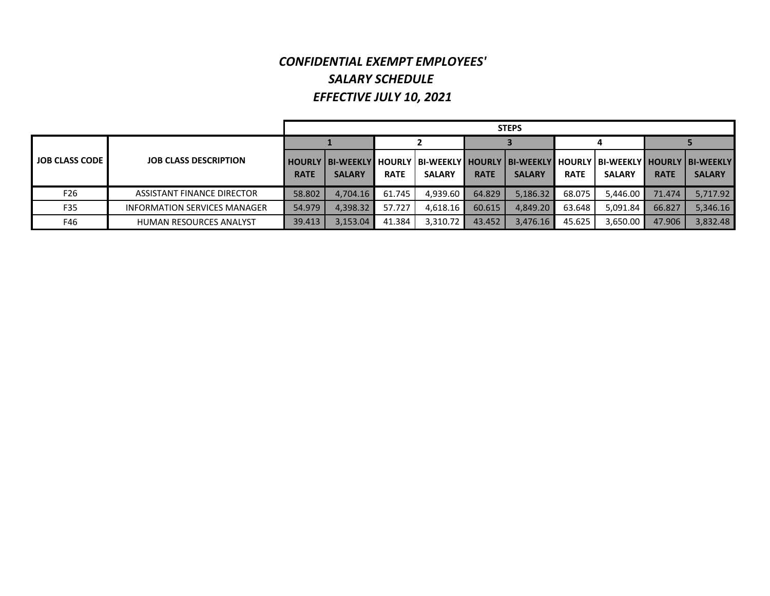## *CONFIDENTIAL EXEMPT EMPLOYEES' SALARY SCHEDULE EFFECTIVE JULY 10, 2021*

|                       |                              |             | <b>STEPS</b>                               |             |               |             |                                                                                                        |             |               |             |               |  |  |  |
|-----------------------|------------------------------|-------------|--------------------------------------------|-------------|---------------|-------------|--------------------------------------------------------------------------------------------------------|-------------|---------------|-------------|---------------|--|--|--|
|                       |                              |             |                                            |             |               |             |                                                                                                        | 4           |               |             |               |  |  |  |
| <b>JOB CLASS CODE</b> | <b>JOB CLASS DESCRIPTION</b> | <b>RATE</b> | <b>HOURLY I BI-WEEKLY</b><br><b>SALARY</b> | <b>RATE</b> | <b>SALARY</b> | <b>RATE</b> | I HOURLY   BI-WEEKLY I HOURLY   BI-WEEKLY I HOURLY   BI-WEEKLY I HOURLY   BI-WEEKLY  <br><b>SALARY</b> | <b>RATE</b> | <b>SALARY</b> | <b>RATE</b> | <b>SALARY</b> |  |  |  |
| F26                   | ASSISTANT FINANCE DIRECTOR   | 58.802      | 4.704.16                                   | 61.745      | 4.939.60      | 64.829      | 5.186.32                                                                                               | 68.075      | 5.446.00      | 71.474      | 5.717.92      |  |  |  |
| F35                   | INFORMATION SERVICES MANAGER | 54.979      | 4.398.32                                   | 57.727      | 4.618.16      | 60.615      | 4.849.20                                                                                               | 63.648      | 5.091.84      | 66.827      | 5.346.16      |  |  |  |
| F46                   | HUMAN RESOURCES ANALYST      | 39.413      | 3.153.04                                   | 41.384      | 3,310.72      | 43.452      | 3,476.16                                                                                               | 45.625      | 3,650.00      | 47.906      | 3.832.48      |  |  |  |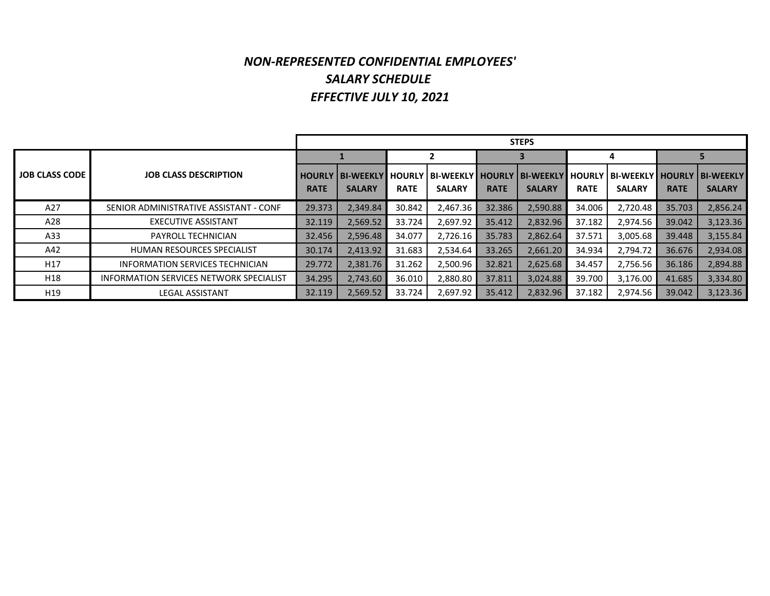## *NON‐REPRESENTED CONFIDENTIAL EMPLOYEES' SALARY SCHEDULE EFFECTIVE JULY 10, 2021*

|                       |                                                |               |                   |               |                    |             | <b>STEPS</b>     |             |                                         |             |               |
|-----------------------|------------------------------------------------|---------------|-------------------|---------------|--------------------|-------------|------------------|-------------|-----------------------------------------|-------------|---------------|
|                       |                                                |               |                   | 2             |                    |             |                  | 4           |                                         |             |               |
| <b>JOB CLASS CODE</b> | <b>JOB CLASS DESCRIPTION</b>                   | <b>HOURLY</b> | <b>IBI-WEEKLY</b> | <b>HOURLY</b> | BI-WEEKLY   HOURLY |             | <b>BI-WEEKLY</b> |             | HOURLY   BI-WEEKLY   HOURLY   BI-WEEKLY |             |               |
|                       |                                                | <b>RATE</b>   | <b>SALARY</b>     | <b>RATE</b>   | <b>SALARY</b>      | <b>RATE</b> | <b>SALARY</b>    | <b>RATE</b> | <b>SALARY</b>                           | <b>RATE</b> | <b>SALARY</b> |
| A27                   | SENIOR ADMINISTRATIVE ASSISTANT - CONF         | 29.373        | 2.349.84          | 30.842        | 2,467.36           | 32.386      | 2,590.88         | 34.006      | 2.720.48                                | 35.703      | 2,856.24      |
| A28                   | <b>EXECUTIVE ASSISTANT</b>                     | 32.119        | 2,569.52          | 33.724        | 2,697.92           | 35.412      | 2,832.96         | 37.182      | 2,974.56                                | 39.042      | 3,123.36      |
| A33                   | <b>PAYROLL TECHNICIAN</b>                      | 32.456        | 2,596.48          | 34.077        | 2,726.16           | 35.783      | 2,862.64         | 37.571      | 3,005.68                                | 39.448      | 3,155.84      |
| A42                   | <b>HUMAN RESOURCES SPECIALIST</b>              | 30.174        | 2.413.92          | 31.683        | 2,534.64           | 33.265      | 2,661.20         | 34.934      | 2.794.72                                | 36.676      | 2,934.08      |
| H <sub>17</sub>       | INFORMATION SERVICES TECHNICIAN                | 29.772        | 2.381.76          | 31.262        | 2,500.96           | 32.821      | 2,625.68         | 34.457      | 2,756.56                                | 36.186      | 2,894.88      |
| H18                   | <b>INFORMATION SERVICES NETWORK SPECIALIST</b> | 34.295        | 2,743.60          | 36.010        | 2,880.80           | 37.811      | 3,024.88         | 39.700      | 3,176.00                                | 41.685      | 3,334.80      |
| H19                   | <b>LEGAL ASSISTANT</b>                         | 32.119        | 2,569.52          | 33.724        | 2,697.92           | 35.412      | 2,832.96         | 37.182      | 2,974.56                                | 39.042      | 3,123.36      |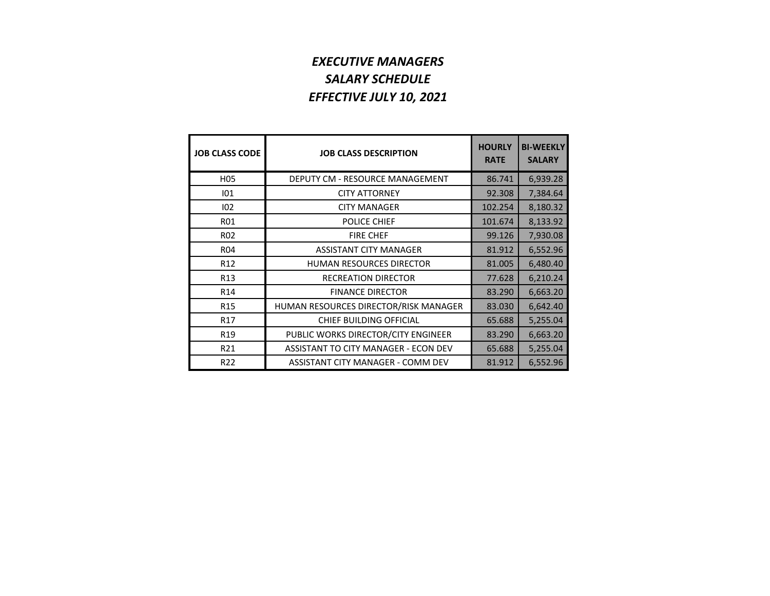## *EXECUTIVE MANAGERS SALARY SCHEDULE EFFECTIVE JULY 10, 2021*

| <b>JOB CLASS CODE</b> | <b>JOB CLASS DESCRIPTION</b>          | <b>HOURLY</b><br><b>RATE</b> | <b>BI-WEEKLY</b><br><b>SALARY</b> |
|-----------------------|---------------------------------------|------------------------------|-----------------------------------|
| H <sub>05</sub>       | DEPUTY CM - RESOURCE MANAGEMENT       | 86.741                       | 6,939.28                          |
| 101                   | <b>CITY ATTORNEY</b>                  | 92.308                       | 7,384.64                          |
| 102                   | <b>CITY MANAGER</b>                   | 102.254                      | 8,180.32                          |
| <b>R01</b>            | POLICE CHIEF                          | 101.674                      | 8,133.92                          |
| R <sub>02</sub>       | <b>FIRE CHEF</b>                      | 99.126                       | 7,930.08                          |
| <b>R04</b>            | <b>ASSISTANT CITY MANAGER</b>         | 81.912                       | 6,552.96                          |
| R <sub>12</sub>       | <b>HUMAN RESOURCES DIRECTOR</b>       | 81.005                       | 6,480.40                          |
| R <sub>13</sub>       | <b>RECREATION DIRECTOR</b>            | 77.628                       | 6,210.24                          |
| R <sub>14</sub>       | <b>FINANCE DIRECTOR</b>               | 83.290                       | 6,663.20                          |
| R <sub>15</sub>       | HUMAN RESOURCES DIRECTOR/RISK MANAGER | 83.030                       | 6,642.40                          |
| R <sub>17</sub>       | CHIEF BUILDING OFFICIAL               | 65.688                       | 5,255.04                          |
| R <sub>19</sub>       | PUBLIC WORKS DIRECTOR/CITY ENGINEER   | 83.290                       | 6,663.20                          |
| R21                   | ASSISTANT TO CITY MANAGER - ECON DEV  | 65.688                       | 5,255.04                          |
| R <sub>22</sub>       | ASSISTANT CITY MANAGER - COMM DEV     | 81.912                       | 6,552.96                          |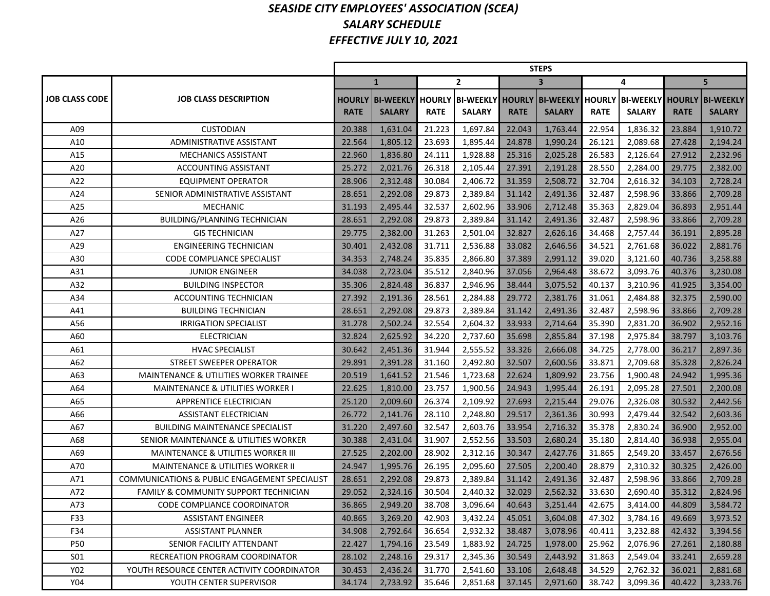#### *SEASIDE CITY EMPLOYEES' ASSOCIATION (SCEA) SALARY SCHEDULE EFFECTIVE JULY 10, 2021*

|                       |                                               | <b>STEPS</b> |                                                                                                                |             |               |             |                         |             |               |             |               |  |  |
|-----------------------|-----------------------------------------------|--------------|----------------------------------------------------------------------------------------------------------------|-------------|---------------|-------------|-------------------------|-------------|---------------|-------------|---------------|--|--|
|                       |                                               |              | $\mathbf{1}$                                                                                                   |             | $\mathbf{2}$  |             | $\overline{\mathbf{3}}$ |             | 4             |             | 5             |  |  |
| <b>JOB CLASS CODE</b> | <b>JOB CLASS DESCRIPTION</b>                  | <b>RATE</b>  | HOURLY  BI-WEEKLY  HOURLY  BI-WEEKLY  HOURLY  BI-WEEKLY  HOURLY  BI-WEEKLY  HOURLY  BI-WEEKLY<br><b>SALARY</b> | <b>RATE</b> | <b>SALARY</b> | <b>RATE</b> | <b>SALARY</b>           | <b>RATE</b> | <b>SALARY</b> | <b>RATE</b> | <b>SALARY</b> |  |  |
| A09                   | <b>CUSTODIAN</b>                              | 20.388       | 1,631.04                                                                                                       | 21.223      | 1,697.84      | 22.043      | 1,763.44                | 22.954      | 1,836.32      | 23.884      | 1,910.72      |  |  |
| A10                   | <b>ADMINISTRATIVE ASSISTANT</b>               | 22.564       | 1,805.12                                                                                                       | 23.693      | 1,895.44      | 24.878      | 1,990.24                | 26.121      | 2,089.68      | 27.428      | 2,194.24      |  |  |
| A15                   | <b>MECHANICS ASSISTANT</b>                    | 22.960       | 1,836.80                                                                                                       | 24.111      | 1,928.88      | 25.316      | 2,025.28                | 26.583      | 2,126.64      | 27.912      | 2,232.96      |  |  |
| A20                   | <b>ACCOUNTING ASSISTANT</b>                   | 25.272       | 2,021.76                                                                                                       | 26.318      | 2,105.44      | 27.391      | 2,191.28                | 28.550      | 2,284.00      | 29.775      | 2,382.00      |  |  |
| A22                   | <b>EQUIPMENT OPERATOR</b>                     | 28.906       | 2,312.48                                                                                                       | 30.084      | 2.406.72      | 31.359      | 2,508.72                | 32.704      | 2,616.32      | 34.103      | 2,728.24      |  |  |
| A24                   | SENIOR ADMINISTRATIVE ASSISTANT               | 28.651       | 2,292.08                                                                                                       | 29.873      | 2.389.84      | 31.142      | 2,491.36                | 32.487      | 2,598.96      | 33.866      | 2,709.28      |  |  |
| A25                   | <b>MECHANIC</b>                               | 31.193       | 2,495.44                                                                                                       | 32.537      | 2,602.96      | 33.906      | 2,712.48                | 35.363      | 2,829.04      | 36.893      | 2,951.44      |  |  |
| A26                   | BUILDING/PLANNING TECHNICIAN                  | 28.651       | 2,292.08                                                                                                       | 29.873      | 2,389.84      | 31.142      | 2,491.36                | 32.487      | 2,598.96      | 33.866      | 2,709.28      |  |  |
| A27                   | <b>GIS TECHNICIAN</b>                         | 29.775       | 2,382.00                                                                                                       | 31.263      | 2,501.04      | 32.827      | 2,626.16                | 34.468      | 2,757.44      | 36.191      | 2,895.28      |  |  |
| A29                   | <b>ENGINEERING TECHNICIAN</b>                 | 30.401       | 2,432.08                                                                                                       | 31.711      | 2,536.88      | 33.082      | 2,646.56                | 34.521      | 2,761.68      | 36.022      | 2,881.76      |  |  |
| A30                   | <b>CODE COMPLIANCE SPECIALIST</b>             | 34.353       | 2,748.24                                                                                                       | 35.835      | 2,866.80      | 37.389      | 2,991.12                | 39.020      | 3,121.60      | 40.736      | 3,258.88      |  |  |
| A31                   | <b>JUNIOR ENGINEER</b>                        | 34.038       | 2,723.04                                                                                                       | 35.512      | 2,840.96      | 37.056      | 2,964.48                | 38.672      | 3,093.76      | 40.376      | 3,230.08      |  |  |
| A32                   | <b>BUILDING INSPECTOR</b>                     | 35.306       | 2,824.48                                                                                                       | 36.837      | 2,946.96      | 38.444      | 3,075.52                | 40.137      | 3,210.96      | 41.925      | 3,354.00      |  |  |
| A34                   | ACCOUNTING TECHNICIAN                         | 27.392       | 2,191.36                                                                                                       | 28.561      | 2,284.88      | 29.772      | 2,381.76                | 31.061      | 2,484.88      | 32.375      | 2,590.00      |  |  |
| A41                   | <b>BUILDING TECHNICIAN</b>                    | 28.651       | 2,292.08                                                                                                       | 29.873      | 2,389.84      | 31.142      | 2,491.36                | 32.487      | 2,598.96      | 33.866      | 2,709.28      |  |  |
| A56                   | <b>IRRIGATION SPECIALIST</b>                  | 31.278       | 2,502.24                                                                                                       | 32.554      | 2,604.32      | 33.933      | 2,714.64                | 35.390      | 2,831.20      | 36.902      | 2,952.16      |  |  |
| A60                   | <b>ELECTRICIAN</b>                            | 32.824       | 2,625.92                                                                                                       | 34.220      | 2,737.60      | 35.698      | 2,855.84                | 37.198      | 2,975.84      | 38.797      | 3,103.76      |  |  |
| A61                   | <b>HVAC SPECIALIST</b>                        | 30.642       | 2,451.36                                                                                                       | 31.944      | 2,555.52      | 33.326      | 2,666.08                | 34.725      | 2,778.00      | 36.217      | 2,897.36      |  |  |
| A62                   | <b>STREET SWEEPER OPERATOR</b>                | 29.891       | 2,391.28                                                                                                       | 31.160      | 2,492.80      | 32.507      | 2,600.56                | 33.871      | 2,709.68      | 35.328      | 2,826.24      |  |  |
| A63                   | MAINTENANCE & UTILITIES WORKER TRAINEE        | 20.519       | 1,641.52                                                                                                       | 21.546      | 1,723.68      | 22.624      | 1,809.92                | 23.756      | 1,900.48      | 24.942      | 1,995.36      |  |  |
| A64                   | <b>MAINTENANCE &amp; UTILITIES WORKER I</b>   | 22.625       | 1,810.00                                                                                                       | 23.757      | 1,900.56      | 24.943      | 1,995.44                | 26.191      | 2,095.28      | 27.501      | 2,200.08      |  |  |
| A65                   | APPRENTICE ELECTRICIAN                        | 25.120       | 2,009.60                                                                                                       | 26.374      | 2,109.92      | 27.693      | 2,215.44                | 29.076      | 2,326.08      | 30.532      | 2,442.56      |  |  |
| A66                   | <b>ASSISTANT ELECTRICIAN</b>                  | 26.772       | 2,141.76                                                                                                       | 28.110      | 2,248.80      | 29.517      | 2,361.36                | 30.993      | 2,479.44      | 32.542      | 2,603.36      |  |  |
| A67                   | <b>BUILDING MAINTENANCE SPECIALIST</b>        | 31.220       | 2,497.60                                                                                                       | 32.547      | 2,603.76      | 33.954      | 2,716.32                | 35.378      | 2,830.24      | 36.900      | 2,952.00      |  |  |
| A68                   | SENIOR MAINTENANCE & UTILITIES WORKER         | 30.388       | 2,431.04                                                                                                       | 31.907      | 2,552.56      | 33.503      | 2,680.24                | 35.180      | 2,814.40      | 36.938      | 2,955.04      |  |  |
| A69                   | <b>MAINTENANCE &amp; UTILITIES WORKER III</b> | 27.525       | 2,202.00                                                                                                       | 28.902      | 2,312.16      | 30.347      | 2,427.76                | 31.865      | 2,549.20      | 33.457      | 2,676.56      |  |  |
| A70                   | <b>MAINTENANCE &amp; UTILITIES WORKER II</b>  | 24.947       | 1,995.76                                                                                                       | 26.195      | 2.095.60      | 27.505      | 2,200.40                | 28.879      | 2.310.32      | 30.325      | 2,426.00      |  |  |
| A71                   | COMMUNICATIONS & PUBLIC ENGAGEMENT SPECIALIST | 28.651       | 2,292.08                                                                                                       | 29.873      | 2,389.84      | 31.142      | 2,491.36                | 32.487      | 2,598.96      | 33.866      | 2,709.28      |  |  |
| A72                   | FAMILY & COMMUNITY SUPPORT TECHNICIAN         | 29.052       | 2,324.16                                                                                                       | 30.504      | 2.440.32      | 32.029      | 2,562.32                | 33.630      | 2,690.40      | 35.312      | 2,824.96      |  |  |
| A73                   | CODE COMPLIANCE COORDINATOR                   | 36.865       | 2,949.20                                                                                                       | 38.708      | 3,096.64      | 40.643      | 3,251.44                | 42.675      | 3,414.00      | 44.809      | 3,584.72      |  |  |
| F33                   | ASSISTANT ENGINEER                            | 40.865       | 3,269.20                                                                                                       | 42.903      | 3,432.24      | 45.051      | 3,604.08                | 47.302      | 3,784.16      | 49.669      | 3,973.52      |  |  |
| F34                   | ASSISTANT PLANNER                             | 34.908       | 2,792.64                                                                                                       | 36.654      | 2,932.32      | 38.487      | 3,078.96                | 40.411      | 3,232.88      | 42.432      | 3,394.56      |  |  |
| <b>P50</b>            | SENIOR FACILITY ATTENDANT                     | 22.427       | 1,794.16                                                                                                       | 23.549      | 1,883.92      | 24.725      | 1,978.00                | 25.962      | 2,076.96      | 27.261      | 2,180.88      |  |  |
| S01                   | RECREATION PROGRAM COORDINATOR                | 28.102       | 2,248.16                                                                                                       | 29.317      | 2,345.36      | 30.549      | 2,443.92                | 31.863      | 2,549.04      | 33.241      | 2,659.28      |  |  |
| Y02                   | YOUTH RESOURCE CENTER ACTIVITY COORDINATOR    | 30.453       | 2,436.24                                                                                                       | 31.770      | 2,541.60      | 33.106      | 2,648.48                | 34.529      | 2,762.32      | 36.021      | 2,881.68      |  |  |
| Y04                   | YOUTH CENTER SUPERVISOR                       | 34.174       | 2,733.92                                                                                                       | 35.646      | 2,851.68      | 37.145      | 2,971.60                | 38.742      | 3,099.36      | 40.422      | 3,233.76      |  |  |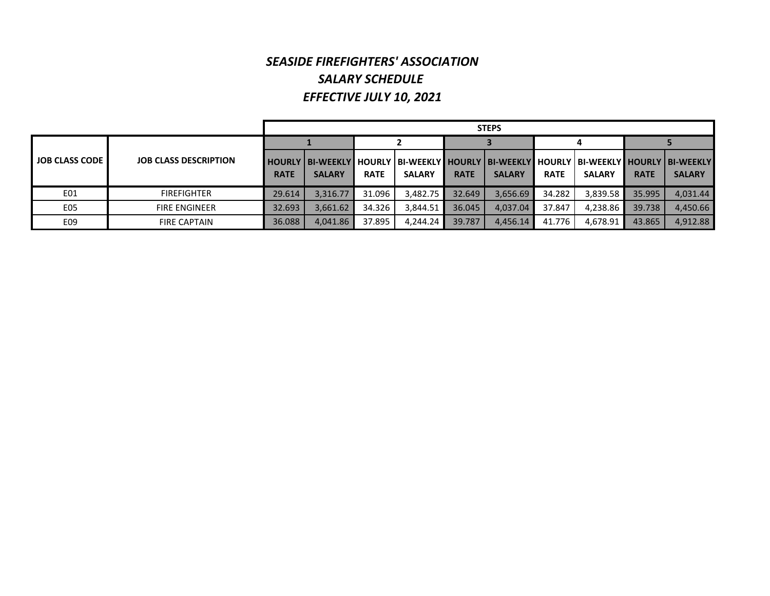## *SEASIDE FIREFIGHTERS' ASSOCIATIONSALARY SCHEDULE EFFECTIVE JULY 10, 2021*

|                          |                              |             | <b>STEPS</b>  |             |               |             |                                                                                                                             |             |               |             |               |  |  |
|--------------------------|------------------------------|-------------|---------------|-------------|---------------|-------------|-----------------------------------------------------------------------------------------------------------------------------|-------------|---------------|-------------|---------------|--|--|
|                          |                              |             |               |             |               |             |                                                                                                                             |             |               |             |               |  |  |
| <b>LJOB CLASS CODE I</b> | <b>JOB CLASS DESCRIPTION</b> | <b>RATE</b> | <b>SALARY</b> | <b>RATE</b> | <b>SALARY</b> | <b>RATE</b> | l HOURLY   BI-WEEKLY   HOURLY   BI-WEEKLY   HOURLY   BI-WEEKLY   HOURLY   BI-WEEKLY   HOURLY   BI-WEEKLY  <br><b>SALARY</b> | <b>RATE</b> | <b>SALARY</b> | <b>RATE</b> | <b>SALARY</b> |  |  |
| E01                      | <b>FIREFIGHTER</b>           | 29.614      | 3.316.77      | 31.096      | 3,482.75      | 32.649      | 3.656.69                                                                                                                    | 34.282      | 3,839.58      | 35.995      | 4.031.44      |  |  |
| E05                      | <b>FIRE ENGINEER</b>         | 32.693      | 3.661.62      | 34.326      | 3,844.51      | 36.045      | 4.037.04                                                                                                                    | 37.847      | 4.238.86      | 39.738      | 4.450.66      |  |  |
| E09                      | <b>FIRE CAPTAIN</b>          | 36.088      | 4,041.86      | 37.895      | 4.244.24      | 39.787      | 4.456.14                                                                                                                    | 41.776      | 4.678.91      | 43.865      | 4.912.88      |  |  |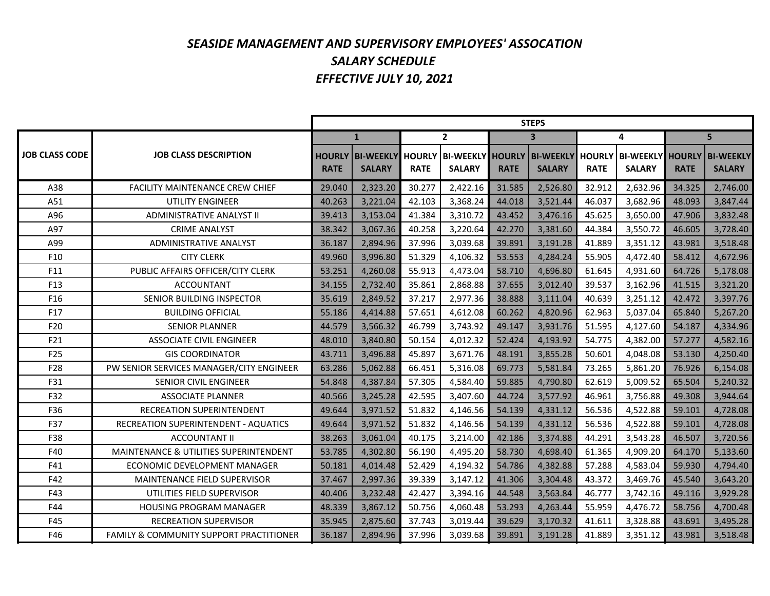## *SEASIDE MANAGEMENT AND SUPERVISORY EMPLOYEES' ASSOCATION SALARY SCHEDULE EFFECTIVE JULY 10, 2021*

|                       |                                                   | <b>STEPS</b> |                                                 |             |                                                                         |             |                         |             |               |             |                                   |  |
|-----------------------|---------------------------------------------------|--------------|-------------------------------------------------|-------------|-------------------------------------------------------------------------|-------------|-------------------------|-------------|---------------|-------------|-----------------------------------|--|
|                       |                                                   |              | $\mathbf{1}$                                    |             | $\mathbf{2}$                                                            |             | $\overline{\mathbf{3}}$ |             | 4             |             | 5                                 |  |
| <b>JOB CLASS CODE</b> | <b>JOB CLASS DESCRIPTION</b>                      | <b>RATE</b>  | <b>HOURLY BI-WEEKLY HOURLY</b><br><b>SALARY</b> | <b>RATE</b> | BI-WEEKLY HOURLY   BI-WEEKLY HOURLY   BI-WEEKLY HOURLY<br><b>SALARY</b> | <b>RATE</b> | <b>SALARY</b>           | <b>RATE</b> | <b>SALARY</b> | <b>RATE</b> | <b>BI-WEEKLY</b><br><b>SALARY</b> |  |
| A38                   | FACILITY MAINTENANCE CREW CHIEF                   | 29.040       | 2,323.20                                        | 30.277      | 2,422.16                                                                | 31.585      | 2,526.80                | 32.912      | 2,632.96      | 34.325      | 2,746.00                          |  |
| A51                   | <b>UTILITY ENGINEER</b>                           | 40.263       | 3,221.04                                        | 42.103      | 3,368.24                                                                | 44.018      | 3,521.44                | 46.037      | 3,682.96      | 48.093      | 3,847.44                          |  |
| A96                   | ADMINISTRATIVE ANALYST II                         | 39.413       | 3,153.04                                        | 41.384      | 3,310.72                                                                | 43.452      | 3,476.16                | 45.625      | 3,650.00      | 47.906      | 3,832.48                          |  |
| A97                   | <b>CRIME ANALYST</b>                              | 38.342       | 3,067.36                                        | 40.258      | 3,220.64                                                                | 42.270      | 3,381.60                | 44.384      | 3,550.72      | 46.605      | 3,728.40                          |  |
| A99                   | <b>ADMINISTRATIVE ANALYST</b>                     | 36.187       | 2,894.96                                        | 37.996      | 3,039.68                                                                | 39.891      | 3,191.28                | 41.889      | 3,351.12      | 43.981      | 3,518.48                          |  |
| F10                   | <b>CITY CLERK</b>                                 | 49.960       | 3,996.80                                        | 51.329      | 4,106.32                                                                | 53.553      | 4,284.24                | 55.905      | 4,472.40      | 58.412      | 4,672.96                          |  |
| F11                   | PUBLIC AFFAIRS OFFICER/CITY CLERK                 | 53.251       | 4,260.08                                        | 55.913      | 4,473.04                                                                | 58.710      | 4,696.80                | 61.645      | 4,931.60      | 64.726      | 5,178.08                          |  |
| F13                   | <b>ACCOUNTANT</b>                                 | 34.155       | 2,732.40                                        | 35.861      | 2,868.88                                                                | 37.655      | 3,012.40                | 39.537      | 3,162.96      | 41.515      | 3,321.20                          |  |
| F <sub>16</sub>       | SENIOR BUILDING INSPECTOR                         | 35.619       | 2,849.52                                        | 37.217      | 2,977.36                                                                | 38.888      | 3,111.04                | 40.639      | 3,251.12      | 42.472      | 3,397.76                          |  |
| F17                   | <b>BUILDING OFFICIAL</b>                          | 55.186       | 4,414.88                                        | 57.651      | 4,612.08                                                                | 60.262      | 4,820.96                | 62.963      | 5,037.04      | 65.840      | 5,267.20                          |  |
| F20                   | <b>SENIOR PLANNER</b>                             | 44.579       | 3,566.32                                        | 46.799      | 3,743.92                                                                | 49.147      | 3,931.76                | 51.595      | 4,127.60      | 54.187      | 4,334.96                          |  |
| F21                   | <b>ASSOCIATE CIVIL ENGINEER</b>                   | 48.010       | 3,840.80                                        | 50.154      | 4,012.32                                                                | 52.424      | 4,193.92                | 54.775      | 4,382.00      | 57.277      | 4,582.16                          |  |
| F25                   | <b>GIS COORDINATOR</b>                            | 43.711       | 3,496.88                                        | 45.897      | 3,671.76                                                                | 48.191      | 3,855.28                | 50.601      | 4,048.08      | 53.130      | 4,250.40                          |  |
| F28                   | PW SENIOR SERVICES MANAGER/CITY ENGINEER          | 63.286       | 5,062.88                                        | 66.451      | 5,316.08                                                                | 69.773      | 5,581.84                | 73.265      | 5,861.20      | 76.926      | 6,154.08                          |  |
| F31                   | <b>SENIOR CIVIL ENGINEER</b>                      | 54.848       | 4,387.84                                        | 57.305      | 4,584.40                                                                | 59.885      | 4,790.80                | 62.619      | 5,009.52      | 65.504      | 5,240.32                          |  |
| F32                   | <b>ASSOCIATE PLANNER</b>                          | 40.566       | 3,245.28                                        | 42.595      | 3,407.60                                                                | 44.724      | 3,577.92                | 46.961      | 3,756.88      | 49.308      | 3,944.64                          |  |
| F36                   | RECREATION SUPERINTENDENT                         | 49.644       | 3,971.52                                        | 51.832      | 4,146.56                                                                | 54.139      | 4,331.12                | 56.536      | 4,522.88      | 59.101      | 4,728.08                          |  |
| F37                   | RECREATION SUPERINTENDENT - AQUATICS              | 49.644       | 3,971.52                                        | 51.832      | 4,146.56                                                                | 54.139      | 4,331.12                | 56.536      | 4,522.88      | 59.101      | 4,728.08                          |  |
| F38                   | <b>ACCOUNTANT II</b>                              | 38.263       | 3,061.04                                        | 40.175      | 3,214.00                                                                | 42.186      | 3,374.88                | 44.291      | 3,543.28      | 46.507      | 3,720.56                          |  |
| F40                   | <b>MAINTENANCE &amp; UTILITIES SUPERINTENDENT</b> | 53.785       | 4,302.80                                        | 56.190      | 4,495.20                                                                | 58.730      | 4,698.40                | 61.365      | 4,909.20      | 64.170      | 5,133.60                          |  |
| F41                   | ECONOMIC DEVELOPMENT MANAGER                      | 50.181       | 4,014.48                                        | 52.429      | 4,194.32                                                                | 54.786      | 4,382.88                | 57.288      | 4,583.04      | 59.930      | 4,794.40                          |  |
| F42                   | <b>MAINTENANCE FIELD SUPERVISOR</b>               | 37.467       | 2,997.36                                        | 39.339      | 3,147.12                                                                | 41.306      | 3,304.48                | 43.372      | 3,469.76      | 45.540      | 3,643.20                          |  |
| F43                   | UTILITIES FIELD SUPERVISOR                        | 40.406       | 3,232.48                                        | 42.427      | 3,394.16                                                                | 44.548      | 3,563.84                | 46.777      | 3,742.16      | 49.116      | 3,929.28                          |  |
| F44                   | HOUSING PROGRAM MANAGER                           | 48.339       | 3,867.12                                        | 50.756      | 4,060.48                                                                | 53.293      | 4,263.44                | 55.959      | 4,476.72      | 58.756      | 4,700.48                          |  |
| F45                   | <b>RECREATION SUPERVISOR</b>                      | 35.945       | 2,875.60                                        | 37.743      | 3,019.44                                                                | 39.629      | 3,170.32                | 41.611      | 3,328.88      | 43.691      | 3,495.28                          |  |
| F46                   | FAMILY & COMMUNITY SUPPORT PRACTITIONER           | 36.187       | 2,894.96                                        | 37.996      | 3,039.68                                                                | 39.891      | 3,191.28                | 41.889      | 3,351.12      | 43.981      | 3,518.48                          |  |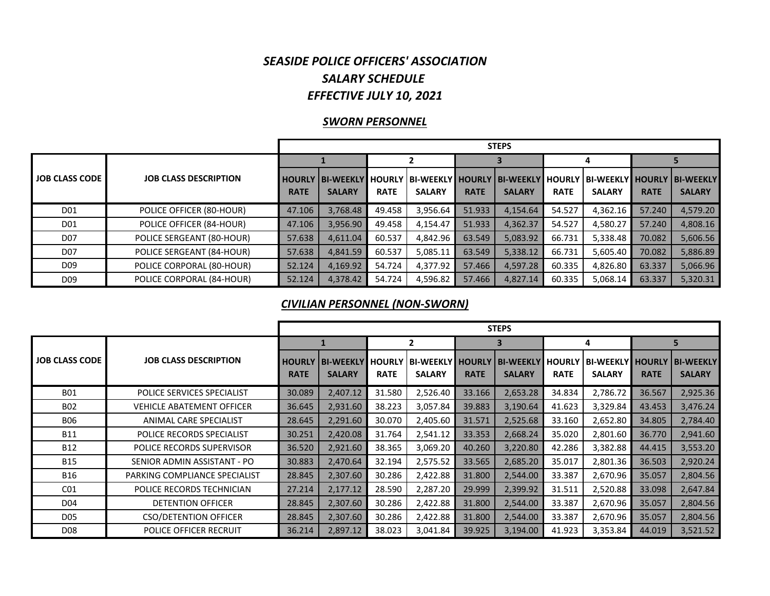#### *SEASIDE POLICE OFFICERS' ASSOCIATION SALARY SCHEDULE EFFECTIVE JULY 10, 2021*

#### *SWORN PERSONNEL*

|                       |                              |             | <b>STEPS</b>            |               |                        |             |                         |             |                     |             |                  |  |  |
|-----------------------|------------------------------|-------------|-------------------------|---------------|------------------------|-------------|-------------------------|-------------|---------------------|-------------|------------------|--|--|
|                       |                              |             |                         |               |                        |             |                         | 4           |                     |             |                  |  |  |
| <b>JOB CLASS CODE</b> | <b>JOB CLASS DESCRIPTION</b> |             | <b>HOURLY BI-WEEKLY</b> | <b>HOURLY</b> | ' I BI-WEEKLY I HOURLY |             | <b>BI-WEEKLY HOURLY</b> |             | BI-WEEKLY    HOURLY |             | <b>BI-WEEKLY</b> |  |  |
|                       |                              | <b>RATE</b> | <b>SALARY</b>           | <b>RATE</b>   | <b>SALARY</b>          | <b>RATE</b> | <b>SALARY</b>           | <b>RATE</b> | <b>SALARY</b>       | <b>RATE</b> | <b>SALARY</b>    |  |  |
| D01                   | POLICE OFFICER (80-HOUR)     | 47.106      | 3,768.48                | 49.458        | 3,956.64               | 51.933      | 4,154.64                | 54.527      | 4,362.16            | 57.240      | 4,579.20         |  |  |
| D01                   | POLICE OFFICER (84-HOUR)     | 47.106      | 3,956.90                | 49.458        | 4,154.47               | 51.933      | 4,362.37                | 54.527      | 4,580.27            | 57.240      | 4,808.16         |  |  |
| D <sub>07</sub>       | POLICE SERGEANT (80-HOUR)    | 57.638      | 4,611.04                | 60.537        | 4,842.96               | 63.549      | 5,083.92                | 66.731      | 5,338.48            | 70.082      | 5,606.56         |  |  |
| D <sub>07</sub>       | POLICE SERGEANT (84-HOUR)    | 57.638      | 4,841.59                | 60.537        | 5,085.11               | 63.549      | 5,338.12                | 66.731      | 5,605.40            | 70.082      | 5,886.89         |  |  |
| D <sub>09</sub>       | POLICE CORPORAL (80-HOUR)    | 52.124      | 4,169.92                | 54.724        | 4,377.92               | 57.466      | 4,597.28                | 60.335      | 4,826.80            | 63.337      | 5,066.96         |  |  |
| D <sub>09</sub>       | POLICE CORPORAL (84-HOUR)    | 52.124      | 4,378.42                | 54.724        | 4,596.82               | 57.466      | 4,827.14                | 60.335      | 5,068.14            | 63.337      | 5,320.31         |  |  |

#### *CIVILIAN PERSONNEL (NON‐SWORN)*

|                       |                                  |                              | <b>STEPS</b>                      |                              |                                   |                              |                                   |                              |                                          |             |                                   |  |  |
|-----------------------|----------------------------------|------------------------------|-----------------------------------|------------------------------|-----------------------------------|------------------------------|-----------------------------------|------------------------------|------------------------------------------|-------------|-----------------------------------|--|--|
|                       |                                  |                              |                                   |                              | 2                                 |                              | В.                                |                              | 4                                        |             | 5                                 |  |  |
| <b>JOB CLASS CODE</b> | <b>JOB CLASS DESCRIPTION</b>     | <b>HOURLY</b><br><b>RATE</b> | <b>BI-WEEKLY</b><br><b>SALARY</b> | <b>HOURLY</b><br><b>RATE</b> | <b>BI-WEEKLY</b><br><b>SALARY</b> | <b>HOURLY</b><br><b>RATE</b> | <b>BI-WEEKLY</b><br><b>SALARY</b> | <b>HOURLY</b><br><b>RATE</b> | <b>BI-WEEKLY HOURLY</b><br><b>SALARY</b> | <b>RATE</b> | <b>BI-WEEKLY</b><br><b>SALARY</b> |  |  |
| <b>B01</b>            | POLICE SERVICES SPECIALIST       | 30.089                       | 2,407.12                          | 31.580                       | 2,526.40                          | 33.166                       | 2,653.28                          | 34.834                       | 2,786.72                                 | 36.567      | 2,925.36                          |  |  |
| <b>B02</b>            | <b>VEHICLE ABATEMENT OFFICER</b> | 36.645                       | 2,931.60                          | 38.223                       | 3,057.84                          | 39.883                       | 3,190.64                          | 41.623                       | 3,329.84                                 | 43.453      | 3,476.24                          |  |  |
| <b>B06</b>            | ANIMAL CARE SPECIALIST           | 28.645                       | 2,291.60                          | 30.070                       | 2,405.60                          | 31.571                       | 2,525.68                          | 33.160                       | 2,652.80                                 | 34.805      | 2,784.40                          |  |  |
| B11                   | POLICE RECORDS SPECIALIST        | 30.251                       | 2,420.08                          | 31.764                       | 2,541.12                          | 33.353                       | 2,668.24                          | 35.020                       | 2,801.60                                 | 36.770      | 2,941.60                          |  |  |
| <b>B12</b>            | POLICE RECORDS SUPERVISOR        | 36.520                       | 2,921.60                          | 38.365                       | 3,069.20                          | 40.260                       | 3,220.80                          | 42.286                       | 3,382.88                                 | 44.415      | 3,553.20                          |  |  |
| <b>B15</b>            | SENIOR ADMIN ASSISTANT - PO      | 30.883                       | 2,470.64                          | 32.194                       | 2,575.52                          | 33.565                       | 2,685.20                          | 35.017                       | 2,801.36                                 | 36.503      | 2,920.24                          |  |  |
| B16                   | PARKING COMPLIANCE SPECIALIST    | 28.845                       | 2,307.60                          | 30.286                       | 2,422.88                          | 31.800                       | 2,544.00                          | 33.387                       | 2,670.96                                 | 35.057      | 2,804.56                          |  |  |
| CO <sub>1</sub>       | POLICE RECORDS TECHNICIAN        | 27.214                       | 2,177.12                          | 28.590                       | 2,287.20                          | 29.999                       | 2,399.92                          | 31.511                       | 2,520.88                                 | 33.098      | 2,647.84                          |  |  |
| D04                   | <b>DETENTION OFFICER</b>         | 28.845                       | 2,307.60                          | 30.286                       | 2,422.88                          | 31.800                       | 2,544.00                          | 33.387                       | 2,670.96                                 | 35.057      | 2,804.56                          |  |  |
| D <sub>05</sub>       | <b>CSO/DETENTION OFFICER</b>     | 28.845                       | 2,307.60                          | 30.286                       | 2,422.88                          | 31.800                       | 2,544.00                          | 33.387                       | 2,670.96                                 | 35.057      | 2,804.56                          |  |  |
| D <sub>08</sub>       | POLICE OFFICER RECRUIT           | 36.214                       | 2,897.12                          | 38.023                       | 3,041.84                          | 39.925                       | 3,194.00                          | 41.923                       | 3,353.84                                 | 44.019      | 3,521.52                          |  |  |